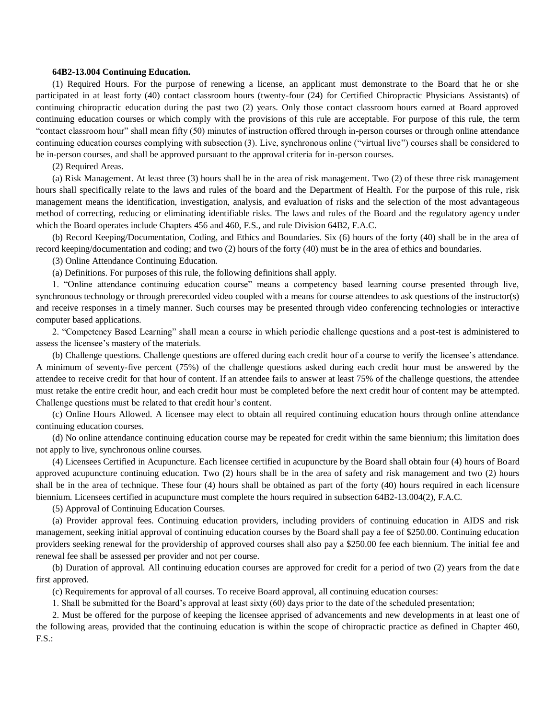## **64B2-13.004 Continuing Education.**

(1) Required Hours. For the purpose of renewing a license, an applicant must demonstrate to the Board that he or she participated in at least forty (40) contact classroom hours (twenty-four (24) for Certified Chiropractic Physicians Assistants) of continuing chiropractic education during the past two (2) years. Only those contact classroom hours earned at Board approved continuing education courses or which comply with the provisions of this rule are acceptable. For purpose of this rule, the term "contact classroom hour" shall mean fifty (50) minutes of instruction offered through in-person courses or through online attendance continuing education courses complying with subsection (3). Live, synchronous online ("virtual live") courses shall be considered to be in-person courses, and shall be approved pursuant to the approval criteria for in-person courses.

(2) Required Areas.

(a) Risk Management. At least three (3) hours shall be in the area of risk management. Two (2) of these three risk management hours shall specifically relate to the laws and rules of the board and the Department of Health. For the purpose of this rule, risk management means the identification, investigation, analysis, and evaluation of risks and the selection of the most advantageous method of correcting, reducing or eliminating identifiable risks. The laws and rules of the Board and the regulatory agency under which the Board operates include Chapters 456 and 460, F.S., and rule Division 64B2, F.A.C.

(b) Record Keeping/Documentation, Coding, and Ethics and Boundaries. Six (6) hours of the forty (40) shall be in the area of record keeping/documentation and coding; and two (2) hours of the forty (40) must be in the area of ethics and boundaries.

(3) Online Attendance Continuing Education.

(a) Definitions. For purposes of this rule, the following definitions shall apply.

1. "Online attendance continuing education course" means a competency based learning course presented through live, synchronous technology or through prerecorded video coupled with a means for course attendees to ask questions of the instructor(s) and receive responses in a timely manner. Such courses may be presented through video conferencing technologies or interactive computer based applications.

2. "Competency Based Learning" shall mean a course in which periodic challenge questions and a post-test is administered to assess the licensee's mastery of the materials.

(b) Challenge questions. Challenge questions are offered during each credit hour of a course to verify the licensee's attendance. A minimum of seventy-five percent (75%) of the challenge questions asked during each credit hour must be answered by the attendee to receive credit for that hour of content. If an attendee fails to answer at least 75% of the challenge questions, the attendee must retake the entire credit hour, and each credit hour must be completed before the next credit hour of content may be attempted. Challenge questions must be related to that credit hour's content.

(c) Online Hours Allowed. A licensee may elect to obtain all required continuing education hours through online attendance continuing education courses.

(d) No online attendance continuing education course may be repeated for credit within the same biennium; this limitation does not apply to live, synchronous online courses.

(4) Licensees Certified in Acupuncture. Each licensee certified in acupuncture by the Board shall obtain four (4) hours of Board approved acupuncture continuing education. Two (2) hours shall be in the area of safety and risk management and two (2) hours shall be in the area of technique. These four (4) hours shall be obtained as part of the forty (40) hours required in each licensure biennium. Licensees certified in acupuncture must complete the hours required in subsection 64B2-13.004(2), F.A.C.

(5) Approval of Continuing Education Courses.

(a) Provider approval fees. Continuing education providers, including providers of continuing education in AIDS and risk management, seeking initial approval of continuing education courses by the Board shall pay a fee of \$250.00. Continuing education providers seeking renewal for the providership of approved courses shall also pay a \$250.00 fee each biennium. The initial fee and renewal fee shall be assessed per provider and not per course.

(b) Duration of approval. All continuing education courses are approved for credit for a period of two (2) years from the date first approved.

(c) Requirements for approval of all courses. To receive Board approval, all continuing education courses:

1. Shall be submitted for the Board's approval at least sixty (60) days prior to the date of the scheduled presentation;

2. Must be offered for the purpose of keeping the licensee apprised of advancements and new developments in at least one of the following areas, provided that the continuing education is within the scope of chiropractic practice as defined in Chapter 460, F.S.: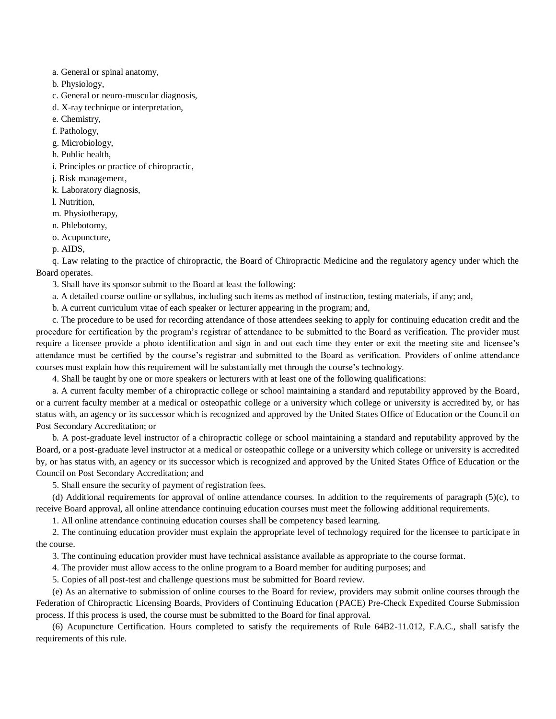- a. General or spinal anatomy,
- b. Physiology,
- c. General or neuro-muscular diagnosis,
- d. X-ray technique or interpretation,
- e. Chemistry,
- f. Pathology,
- g. Microbiology,
- h. Public health,
- i. Principles or practice of chiropractic,
- j. Risk management,
- k. Laboratory diagnosis,
- l. Nutrition,
- m. Physiotherapy,
- n. Phlebotomy,
- o. Acupuncture,
- p. AIDS,

q. Law relating to the practice of chiropractic, the Board of Chiropractic Medicine and the regulatory agency under which the Board operates.

- 3. Shall have its sponsor submit to the Board at least the following:
- a. A detailed course outline or syllabus, including such items as method of instruction, testing materials, if any; and,
- b. A current curriculum vitae of each speaker or lecturer appearing in the program; and,

c. The procedure to be used for recording attendance of those attendees seeking to apply for continuing education credit and the procedure for certification by the program's registrar of attendance to be submitted to the Board as verification. The provider must require a licensee provide a photo identification and sign in and out each time they enter or exit the meeting site and licensee's attendance must be certified by the course's registrar and submitted to the Board as verification. Providers of online attendance courses must explain how this requirement will be substantially met through the course's technology.

4. Shall be taught by one or more speakers or lecturers with at least one of the following qualifications:

a. A current faculty member of a chiropractic college or school maintaining a standard and reputability approved by the Board, or a current faculty member at a medical or osteopathic college or a university which college or university is accredited by, or has status with, an agency or its successor which is recognized and approved by the United States Office of Education or the Council on Post Secondary Accreditation; or

b. A post-graduate level instructor of a chiropractic college or school maintaining a standard and reputability approved by the Board, or a post-graduate level instructor at a medical or osteopathic college or a university which college or university is accredited by, or has status with, an agency or its successor which is recognized and approved by the United States Office of Education or the Council on Post Secondary Accreditation; and

5. Shall ensure the security of payment of registration fees.

(d) Additional requirements for approval of online attendance courses. In addition to the requirements of paragraph (5)(c), to receive Board approval, all online attendance continuing education courses must meet the following additional requirements.

1. All online attendance continuing education courses shall be competency based learning.

2. The continuing education provider must explain the appropriate level of technology required for the licensee to participate in the course.

3. The continuing education provider must have technical assistance available as appropriate to the course format.

4. The provider must allow access to the online program to a Board member for auditing purposes; and

5. Copies of all post-test and challenge questions must be submitted for Board review.

(e) As an alternative to submission of online courses to the Board for review, providers may submit online courses through the Federation of Chiropractic Licensing Boards, Providers of Continuing Education (PACE) Pre-Check Expedited Course Submission process. If this process is used, the course must be submitted to the Board for final approval.

(6) Acupuncture Certification. Hours completed to satisfy the requirements of Rule 64B2-11.012, F.A.C., shall satisfy the requirements of this rule.